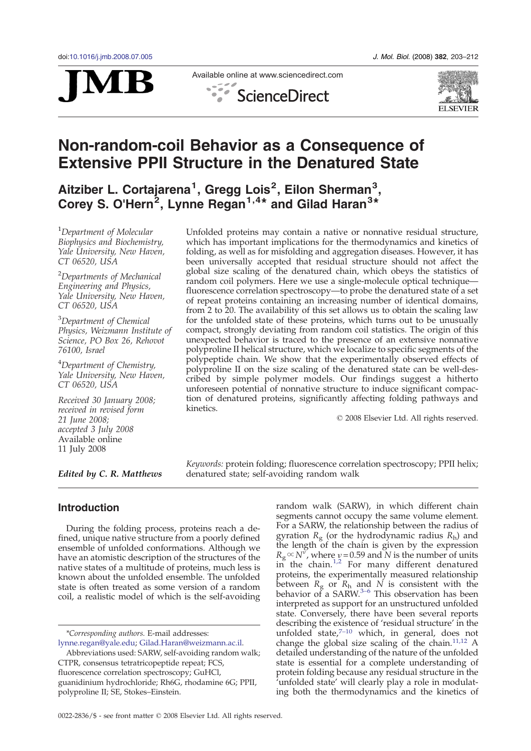

Available online at www.sciencedirect.com  $\frac{1}{2}$ **ScienceDirect** 



# Non-random-coil Behavior as a Consequence of Extensive PPII Structure in the Denatured State

Aitziber L. Cortajarena<sup>1</sup>, Gregg Lois<sup>2</sup>, Eilon Sherman<sup>3</sup>, Corey S. O'Hern<sup>2</sup>, Lynne Regan<sup>1,4\*</sup> and Gilad Haran<sup>3\*</sup>

<sup>1</sup>Department of Molecular Biophysics and Biochemistry, Yale University, New Haven, CT 06520, USA

<sup>2</sup>Departments of Mechanical Engineering and Physics, Yale University, New Haven, CT 06520, USA

<sup>3</sup>Department of Chemical Physics, Weizmann Institute of Science, PO Box 26, Rehovot 76100, Israel

<sup>4</sup>Department of Chemistry, Yale University, New Haven, CT 06520, USA

Received 30 January 2008; received in revised form 21 June 2008; accepted 3 July 2008 Available online 11 July 2008

Edited by C. R. Matthews

Unfolded proteins may contain a native or nonnative residual structure, which has important implications for the thermodynamics and kinetics of folding, as well as for misfolding and aggregation diseases. However, it has been universally accepted that residual structure should not affect the global size scaling of the denatured chain, which obeys the statistics of random coil polymers. Here we use a single-molecule optical technique fluorescence correlation spectroscopy—to probe the denatured state of a set of repeat proteins containing an increasing number of identical domains, from 2 to 20. The availability of this set allows us to obtain the scaling law for the unfolded state of these proteins, which turns out to be unusually compact, strongly deviating from random coil statistics. The origin of this unexpected behavior is traced to the presence of an extensive nonnative polyproline II helical structure, which we localize to specific segments of the polypeptide chain. We show that the experimentally observed effects of polyproline II on the size scaling of the denatured state can be well-described by simple polymer models. Our findings suggest a hitherto unforeseen potential of nonnative structure to induce significant compaction of denatured proteins, significantly affecting folding pathways and kinetics.

© 2008 Elsevier Ltd. All rights reserved.

Keywords: protein folding; fluorescence correlation spectroscopy; PPII helix; denatured state; self-avoiding random walk

## **Introduction**

During the folding process, proteins reach a defined, unique native structure from a poorly defined ensemble of unfolded conformations. Although we have an atomistic description of the structures of the native states of a multitude of proteins, much less is known about the unfolded ensemble. The unfolded state is often treated as some version of a random coil, a realistic model of which is the self-avoiding

\*Corresponding authors. E-mail addresses: lynne.regan@yale.edu; Gilad.Haran@weizmann.ac.il. random walk (SARW), in which different chain segments cannot occupy the same volume element. For a SARW, the relationship between the radius of gyration  $R_{\rm g}$  (or the hydrodynamic radius  $R_{\rm h}$ ) and the length of the chain is given by the expression  $R_{\rm g} \! \propto \! N^{\nu}$ , where  $\nu$  = 0.59 and N is the number of units in the chain.<sup>[1,2](#page-8-0)</sup> For many different denatured proteins, the experimentally measured relationship between  $R_{\rm g}$  or  $R_{\rm h}$  [and](#page-8-0) N is consistent with the behavior of a SARW.<sup>3–6</sup> This observation has been interpreted as support for an unstructured unfolded state. Conversely, there have been several reports describing the existence of 'residual structure' in the unfolded state, $7-10$  $7-10$  which, in general, does not change the global size scaling of the chain.[11,12](#page-8-0) A detailed understanding of the nature of the unfolded state is essential for a complete understanding of protein folding because any residual structure in the 'unfolded state' will clearly play a role in modulating both the thermodynamics and the kinetics of

Abbreviations used: SARW, self-avoiding random walk; CTPR, consensus tetratricopeptide repeat; FCS, fluorescence correlation spectroscopy; GuHCl, guanidinium hydrochloride; Rh6G, rhodamine 6G; PPII, polyproline II; SE, Stokes–Einstein.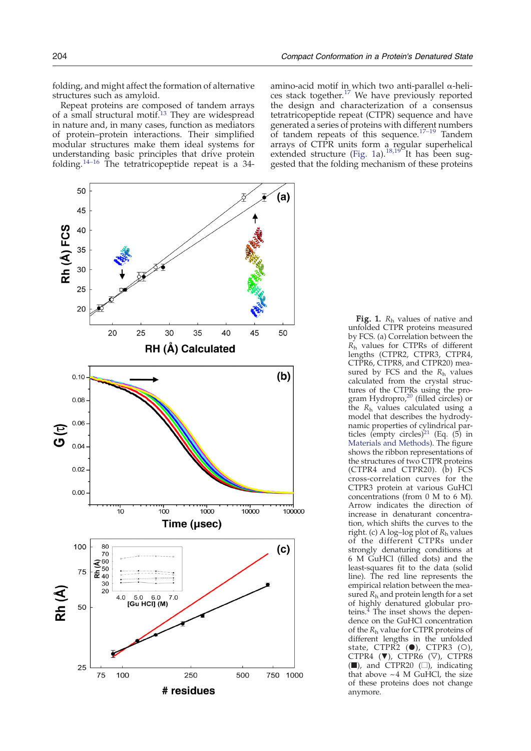<span id="page-1-0"></span>folding, and might affect the formation of alternative structures such as amyloid.

Repeat proteins are composed of tandem arrays of a small structural motif.<sup>[13](#page-8-0)</sup> They are widespread in nature and, in many cases, function as mediators of protein–protein interactions. Their simplified modular structures make them ideal systems for understanding basic principles that drive protein folding.[14](#page-8-0)–<sup>16</sup> The tetratricopeptide repeat is a 34-



amino-acid motif in which two anti-parallel α-heli-ces stack together.<sup>[17](#page-8-0)</sup> We have previously reported the design and characterization of a consensus tetratricopeptide repeat (CTPR) sequence and have generated a series of proteins with diff[erent](#page-8-0) numbers of tandem repeats of this sequence.17–<sup>19</sup> Tandem arrays of CTPR units form a regular superhelical extended structure (Fig. 1a).<sup>[18,19](#page-8-0)</sup> It has been suggested that the folding mechanism of these proteins

**Fig. 1.**  $R_h$  values of native and unfolded CTPR proteins measured by FCS. (a) Correlation between the  $\tilde{R_{h}}$  values for CTPRs of different lengths (CTPR2, CTPR3, CTPR4, CTPR6, CTPR8, and CTPR20) measured by FCS and the  $R_h$  values calculated from the crystal structures of the CTPRs using the pro-gram Hydropro,<sup>[20](#page-8-0)</sup> (filled circles) or the  $R_h$  values calculated using a model that describes the hydrodynamic properties of cylindrical par-ticles (empty circles)<sup>[21](#page-8-0)</sup> (Eq.  $(5)$  in Materials and Methods). The figure shows the ribbon representations of the structures of two CTPR proteins (CTPR4 and CTPR20). (b) FCS cross-correlation curves for the CTPR3 protein at various GuHCl concentrations (from 0 M to 6 M). Arrow indicates the direction of increase in denaturant concentration, which shifts the curves to the right. (c) A log-log plot of  $R_h$  values of the different CTPRs under strongly denaturing conditions at 6 M GuHCl (filled dots) and the least-squares fit to the data (solid line). The red line represents the empirical relation between the measured  $R_h$  and protein length for a set of highly denatured globular proteins.<sup>4</sup> The inset shows the dependence on the GuHCl concentration of the  $R_h$  value for CTPR proteins of different lengths in the unfolded state, CTPR<sub>2</sub> (●), CTPR3 (○), CTPR4  $(∇)$ , CTPR6  $(∇)$ , CTPR8 (■), and CTPR20 (□), indicating that above  $~1$  M GuHCl, the size of these proteins does not change anymore.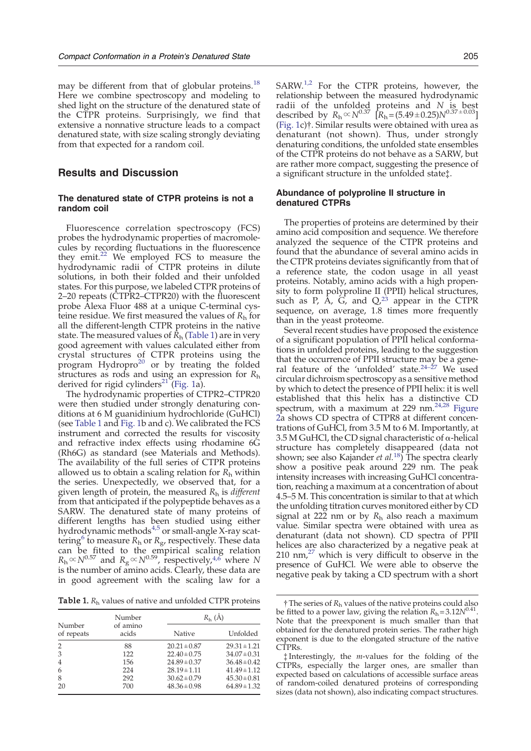may be different from that of globular proteins.<sup>[18](#page-8-0)</sup> Here we combine spectroscopy and modeling to shed light on the structure of the denatured state of the CTPR proteins. Surprisingly, we find that extensive a nonnative structure leads to a compact denatured state, with size scaling strongly deviating from that expected for a random coil.

# Results and Discussion

## The denatured state of CTPR proteins is not a random coil

Fluorescence correlation spectroscopy (FCS) probes the hydrodynamic properties of macromolecules by recording fluctuations in the fluorescence they emit[.](#page-8-0) $^{22}$  $^{22}$  $^{22}$  We employed FCS to measure the hydrodynamic radii of CTPR proteins in dilute solutions, in both their folded and their unfolded states. For this purpose, we labeled CTPR proteins of 2–20 repeats (CTPR2–CTPR20) with the fluorescent probe Alexa Fluor 488 at a unique C-terminal cysteine residue. We first measured the values of  $R<sub>h</sub>$  for all the different-length CTPR proteins in the native state. The measured values of  $\bar{R}_{h}$  (Table 1) are in very good agreement with values calculated either from crystal structures of CTPR proteins using the program Hydropro<sup>[20](#page-8-0)</sup> or by treating the folded structures as rods and using an expression for  $R_h$ derived for rigid cylinders<sup>[21](#page-8-0)</sup> [\(Fig. 1a](#page-1-0)).

The hydrodynamic properties of CTPR2–CTPR20 were then studied under strongly denaturing conditions at 6 M guanidinium hydrochloride (GuHCl) (see Table 1 and [Fig. 1b](#page-1-0) and c). We calibrated the FCS instrument and corrected the results for viscosity and refractive index effects using rhodamine 6G (Rh6G) as standard (see Materials and Methods). The availability of the full series of CTPR proteins allowed us to obtain a scaling relation for  $R_h$  within the series. Unexpectedly, we observed that, for a given length of protein, the measured  $R<sub>h</sub>$  is *different* from that anticipated if the polypeptide behaves as a SARW. The denatured state of many proteins of different lengths has been studied using either hydrodynamic methods<sup>[4,5](#page-8-0)</sup> or small-angle X-ray scat-tering<sup>[6](#page-8-0)</sup> to measure  $R_h$  or  $R_g$ , respectively. These data can be fitted to the empirical scaling relation  $R_{\rm h}$   $\propto$   $N^{0.57}$  and  $R_{\rm g}$   $\propto$   $N^{0.59}$ , respectively,<sup>4,6</sup> where N is the number of amino acids. Clearly, these data are in good agreement with the scaling law for a

**Table 1.**  $R_h$  values of native and unfolded CTPR proteins

| Number<br>of repeats | Number<br>of amino<br>acids | $R_{h}(\AA)$     |                  |
|----------------------|-----------------------------|------------------|------------------|
|                      |                             | Native           | Unfolded         |
| $\overline{2}$       | 88                          | $20.21 \pm 0.87$ | $29.31 \pm 1.21$ |
| 3                    | 122                         | $22.40 \pm 0.75$ | $34.07 \pm 0.31$ |
| $\overline{4}$       | 156                         | $24.89 \pm 0.37$ | $36.48 \pm 0.42$ |
| 6                    | 224                         | $28.19 \pm 1.11$ | $41.49 \pm 1.12$ |
| 8                    | 292                         | $30.62 \pm 0.79$ | $45.30 \pm 0.81$ |
| 20                   | 700                         | $48.36 \pm 0.98$ | $64.89 \pm 1.32$ |

 $SARW<sup>1,2</sup>$  $SARW<sup>1,2</sup>$  $SARW<sup>1,2</sup>$  For the CTPR proteins, however, the relationship between the measured hydrodynamic radii of the unfolded proteins and N is best described by  $R_h \propto N^{0.37}$   $[R_h = (5.49 \pm 0.25)N^{0.37 \pm 0.03}]$ ([Fig. 1c](#page-1-0))†. Similar results were obtained with urea as denaturant (not shown). Thus, under strongly denaturing conditions, the unfolded state ensembles of the CTPR proteins do not behave as a SARW, but are rather more compact, suggesting the presence of a significant structure in the unfolded state‡.

## Abundance of polyproline II structure in denatured CTPRs

The properties of proteins are determined by their amino acid composition and sequence. We therefore analyzed the sequence of the CTPR proteins and found that the abundance of several amino acids in the CTPR proteins deviates significantly from that of a reference state, the codon usage in all yeast proteins. Notably, amino acids with a high propensity to form polyproline II (PPII) helical structures, such as P,  $\hat{A}$ ,  $\hat{G}$ , and  $Q$ ,<sup>[23](#page-8-0)</sup> appear in the CTPR sequence, on average, 1.8 times more frequently than in the yeast proteome.

Several recent studies have proposed the existence of a significant population of PPII helical conformations in unfolded proteins, leading to the suggestion that the occurrence of PPII structure may be a general feature of the 'unfolded' state. $24-27$  $24-27$  We used circular dichroism spectroscopy as a sensitive method by which to detect the presence of PPII helix: it is well established that this helix has a distinctive CD spectrum, with a maximum at 229 nm[.](#page-8-0) $24.28$  [Figure](#page-3-0) [2a](#page-3-0) shows CD spectra of CTPR8 at different concentrations of GuHCl, from 3.5 M to 6 M. Importantly, at  $3.5$  M GuHCl, the CD signal characteristic of  $\alpha$ -helical structure has completely disappeared (data not shown; see also Kajander *et al.*<sup>[18](#page-8-0)</sup> $)$  The spectra clearly show a positive peak around 229 nm. The peak intensity increases with increasing GuHCl concentration, reaching a maximum at a concentration of about 4.5–5 M. This concentration is similar to that at which the unfolding titration curves monitored either by CD signal at 222 nm or by  $R_h$  also reach a maximum value. Similar spectra were obtained with urea as denaturant (data not shown). CD spectra of PPII helices are also characterized by a negative peak at  $210$  nm[,](#page-8-0) $^{27}$  $^{27}$  $^{27}$  which is very difficult to observe in the presence of GuHCl. We were able to observe the negative peak by taking a CD spectrum with a short

 $\dagger$  The series of  $R_h$  values of the native proteins could also be fitted to a power law, giving the relation  $R_h = 3.12N^{0.41}$ . Note that the preexponent is much smaller than that obtained for the denatured protein series. The rather high exponent is due to the elongated structure of the native CTPRs.

<sup>‡</sup> Interestingly, the m-values for the folding of the CTPRs, especially the larger ones, are smaller than expected based on calculations of accessible surface areas of random-coiled denatured proteins of corresponding sizes (data not shown), also indicating compact structures.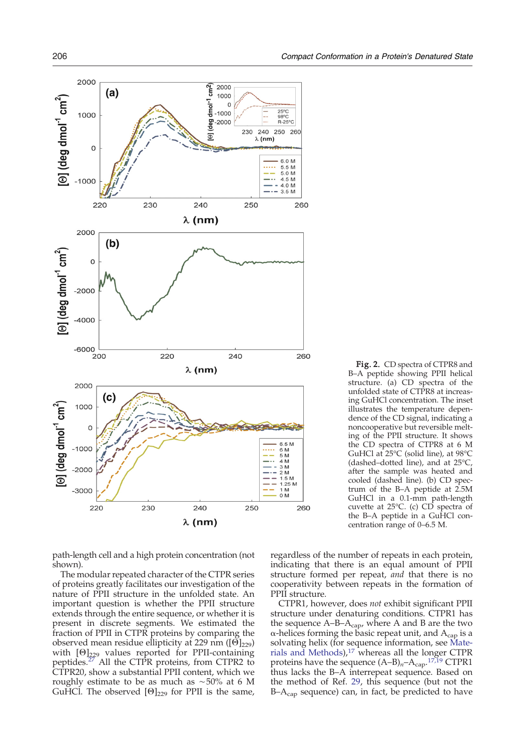<span id="page-3-0"></span>

path-length cell and a high protein concentration (not shown).

The modular repeated character of the CTPR series of proteins greatly facilitates our investigation of the nature of PPII structure in the unfolded state. An important question is whether the PPII structure extends through the entire sequence, or whether it is present in discrete segments. We estimated the fraction of PPII in CTPR proteins by comparing the observed mean residue ellipticity at 229 nm ( $[Θ]_{229}$ ) with  $[ $\Theta$ ]_{229}$  values reported for PPII-containing peptides.[27](#page-8-0) All the CTPR proteins, from CTPR2 to CTPR20, show a substantial PPII content, which we roughly estimate to be as much as ∼50% at 6 M GuHCl. The observed  $[ $\Theta$ ]_{229}$  for PPII is the same,

Fig. 2. CD spectra of CTPR8 and B–A peptide showing PPII helical structure. (a) CD spectra of the unfolded state of CTPR8 at increasing GuHCl concentration. The inset illustrates the temperature dependence of the CD signal, indicating a noncooperative but reversible melting of the PPII structure. It shows the CD spectra of CTPR8 at 6 M GuHCl at 25°C (solid line), at 98°C (dashed–dotted line), and at 25°C, after the sample was heated and cooled (dashed line). (b) CD spectrum of the B–A peptide at 2.5M GuHCl in a 0.1-mm path-length cuvette at 25°C. (c) CD spectra of the B-A peptide in a GuHCl concentration range of 0–6.5 M.

regardless of the number of repeats in each protein, indicating that there is an equal amount of PPII structure formed per repeat, and that there is no cooperativity between repeats in the formation of PPII structure.

CTPR1, however, does not exhibit significant PPII structure under denaturing conditions. CTPR1 has the sequence  $A-B-A_{cap}$ , where A and B are the two  $\alpha$ -helices forming the basic repeat unit, and  $A_{cap}$  is a solvating helix (for sequence information, see Materials and Methods),[17](#page-8-0) whereas all the longer CTPR proteins have the sequence  $(A-B)<sub>n</sub>-A<sub>cap</sub>$ .<sup>[17,19](#page-8-0)</sup> CTPR1 thus lacks the B–A interrepeat sequence. Based on the method of Ref. [29](#page-8-0), this sequence (but not the  $B-A<sub>cap</sub>$  sequence) can, in fact, be predicted to have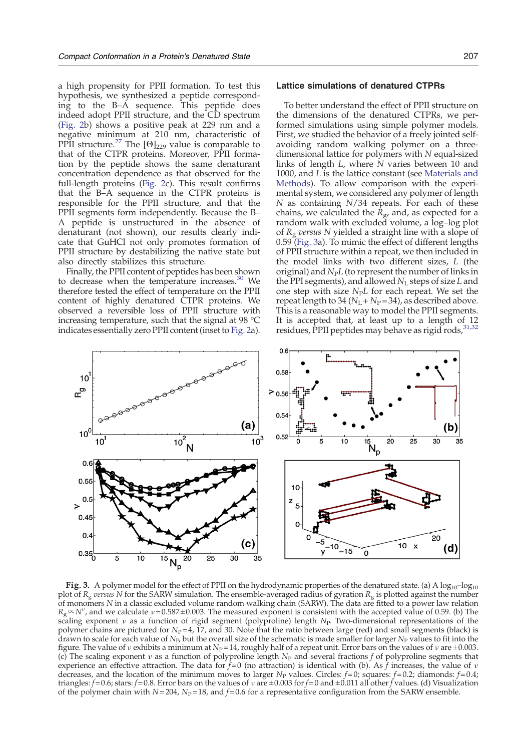<span id="page-4-0"></span>a high propensity for PPII formation. To test this hypothesis, we synthesized a peptide corresponding to the B–A sequence. This peptide does indeed adopt PPII structure, and the CD spectrum [\(Fig. 2](#page-3-0)b) shows a positive peak at 229 nm and a negative minimum at 210 nm, characteristic of PPII structure.<sup>[27](#page-8-0)</sup> The  $[ $\Theta$ ]_{229}$  value is comparable to that of the CTPR proteins. Moreover, PPII formation by the peptide shows the same denaturant concentration dependence as that observed for the full-length proteins [\(Fig. 2c](#page-3-0)). This result confirms that the B–A sequence in the CTPR proteins is responsible for the PPII structure, and that the PPII segments form independently. Because the B– A peptide is unstructured in the absence of denaturant (not shown), our results clearly indicate that GuHCl not only promotes formation of PPII structure by destabilizing the native state but also directly stabilizes this structure.

Finally, the PPII content of peptides has been shown to decrease when the temperature increases[.](#page-8-0) $30$  We therefore tested the effect of temperature on the PPII content of highly denatured CTPR proteins. We observed a reversible loss of PPII structure with increasing temperature, such that the signal at 98 °C indicates essentially zero PPII content (inset to [Fig. 2](#page-3-0)a).

## Lattice simulations of denatured CTPRs

To better understand the effect of PPII structure on the dimensions of the denatured CTPRs, we performed simulations using simple polymer models. First, we studied the behavior of a freely jointed selfavoiding random walking polymer on a threedimensional lattice for polymers with N equal-sized links of length  $L$ , where  $N$  varies between 10 and 1000, and L is the lattice constant (see Materials and Methods). To allow comparison with the experimental system, we considered any polymer of length N as containing N/34 repeats. For each of these chains, we calculated the  $\bar{R}_{\text{g}}$ , and, as expected for a random walk with excluded volume, a log-log plot of  $R_g$  versus N yielded a straight line with a slope of 0.59 (Fig. 3a). To mimic the effect of different lengths of PPII structure within a repeat, we then included in the model links with two different sizes, L (the original) and  $N<sub>P</sub>L$  (to represent the number of links in the PPI segments), and allowed  $N<sub>L</sub>$  steps of size L and one step with size  $N<sub>P</sub>L$  for each repeat. We set the repeat length to 34 ( $N_L + N_P = 34$ ), as described above. This is a reasonable way to model the PPII segments. It is accepted that, at least up to a length of 12 residues, PPII peptides may behave as rigid rods, [31,32](#page-9-0)



**Fig. 3.** A polymer model for the effect of PPII on the hydrodynamic properties of the denatured state. (a) A  $log_{10}$ – $log_{10}$ plot of  $R_g$  versus N for the SARW simulation. The ensemble-averaged radius of gyration  $R_g$  is plotted against the number of monomers N in a classic excluded volume random walking chain (SARW). The data are fitted to a power law relation  $R_g \propto N^{\nu}$ , and we calculate  $\nu$  = 0.587 ± 0.003. The measured exponent is consistent with the accepted value of 0.59. (b) The scaling exponent v as a function of rigid segment (polyproline) length  $N_P$  Two-dimensional representations of the polymer chains are pictured for  $N_{\rm P} = 4$ , 17, and 30. Note that the ratio between large (red) and small segments (black) is drawn to scale for each value of  $N_P$ , but the overall size of the schematic is made smaller for larger  $N_P$  values to fit into the figure. The value of  $\nu$  exhibits a minimum at  $N_P=14$ , roughly half of a repeat unit. Error bars on the values of  $\nu$  are  $\pm 0.003$ . (c) The scaling exponent  $v$  as a function of polyproline length  $N_P$  and several fractions f of polyproline segments that experience an effective attraction. The data for  $f=0$  (no attraction) is identical with (b). As f increases, the value of v decreases, and the location of the minimum moves to larger N<sub>P</sub> values. Circles:  $f=0$ ; squares:  $f=0.2$ ; diamonds:  $f=0.4$ ; triangles:  $f= 0.6$ ; stars:  $f= 0.8$ . Error bars on the values of v are  $\pm 0.003$  for  $f=0$  and  $\pm 0.011$  all other f values. (d) Visualization of the polymer chain with  $N= 204$ ,  $N<sub>P</sub>= 18$ , and  $f= 0.6$  for a representative configuration from the SARW ensemble.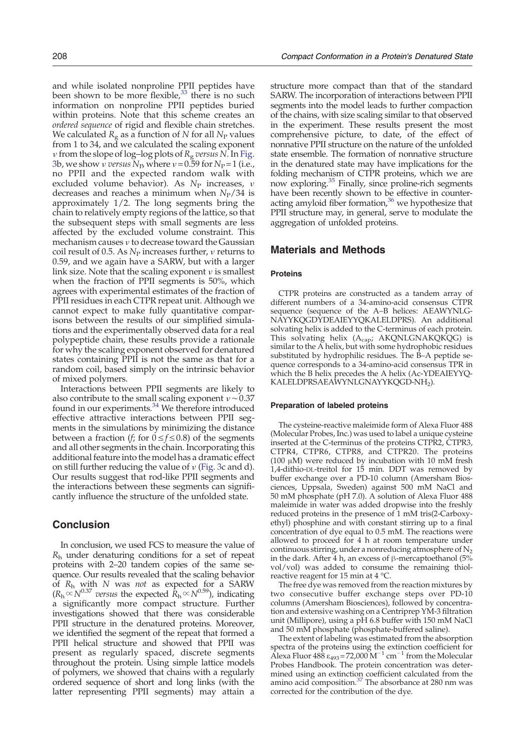and while isolated nonproline PPII peptides have been shown to be more flexible[,](#page-9-0) $33$  there is no such information on nonproline PPII peptides buried within proteins. Note that this scheme creates an ordered sequence of rigid and flexible chain stretches. We calculated  $R_{\rm g}$  as a function of  $N$  for all  $N_{\rm P}$  values from 1 to 34, and we calculated the scaling exponent *v* from the slope of log–log plots of  $R_g$  versus N. In [Fig.](#page-4-0) [3b](#page-4-0), we show *ν versus*  $N_{\rm P}$ , where  $\nu$  = 0.59 for  $N_{\rm P}$  = 1 (i.e., no PPII and the expected random walk with excluded volume behavior). As  $N_P$  increases,  $\nu$ decreases and reaches a minimum when  $N_P/34$  is approximately 1/2. The long segments bring the chain to relatively empty regions of the lattice, so that the subsequent steps with small segments are less affected by the excluded volume constraint. This mechanism causes ν to decrease toward the Gaussian coil result of 0.5. As  $N_{\rm P}$  increases further, *ν* returns to 0.59, and we again have a SARW, but with a larger link size. Note that the scaling exponent  $\nu$  is smallest when the fraction of PPII segments is 50%, which agrees with experimental estimates of the fraction of PPII residues in each CTPR repeat unit. Although we cannot expect to make fully quantitative comparisons between the results of our simplified simulations and the experimentally observed data for a real polypeptide chain, these results provide a rationale for why the scaling exponent observed for denatured states containing PPII is not the same as that for a random coil, based simply on the intrinsic behavior of mixed polymers.

Interactions between PPII segments are likely to also contribute to the small scaling exponent  $v \sim 0.37$ found in our experiments.<sup>[34](#page-9-0)</sup> We therefore introduced effective attractive interactions between PPII segments in the simulations by minimizing the distance between a fraction (f; for  $0 \le f \le 0.8$ ) of the segments and all other segments in the chain. Incorporating this additional feature into the model has a dramatic effect on still further reducing the value of  $\nu$  [\(Fig. 3c](#page-4-0) and d). Our results suggest that rod-like PPII segments and the interactions between these segments can significantly influence the structure of the unfolded state.

# Conclusion

In conclusion, we used FCS to measure the value of  $R<sub>h</sub>$  under denaturing conditions for a set of repeat proteins with 2–20 tandem copies of the same sequence. Our results revealed that the scaling behavior of  $R_h$  with N was not as expected for a SARW  $(R_h \propto N^{0.37}$  versus the expected  $\dot{R}_h \propto N^{0.59}$ ), indicating a significantly more compact structure. Further investigations showed that there was considerable PPII structure in the denatured proteins. Moreover, we identified the segment of the repeat that formed a PPII helical structure and showed that PPII was present as regularly spaced, discrete segments throughout the protein. Using simple lattice models of polymers, we showed that chains with a regularly ordered sequence of short and long links (with the latter representing PPII segments) may attain a

structure more compact than that of the standard SARW. The incorporation of interactions between PPII segments into the model leads to further compaction of the chains, with size scaling similar to that observed in the experiment. These results present the most comprehensive picture, to date, of the effect of nonnative PPII structure on the nature of the unfolded state ensemble. The formation of nonnative structure in the denatured state may have implications for the folding mechanism of CTPR proteins, which we are now exploring[.35](#page-9-0) Finally, since proline-rich segments have been recently shown to be effective in counter-acting amyloid fiber formation,<sup>[36](#page-9-0)</sup> we hypothesize that PPII structure may, in general, serve to modulate the aggregation of unfolded proteins.

## Materials and Methods

#### **Proteins**

CTPR proteins are constructed as a tandem array of different numbers of a 34-amino-acid consensus CTPR sequence (sequence of the A–B helices: AEAWYNLG-NAYYKQGDYDEAIEYYQKALELDPRS). An additional solvating helix is added to the C-terminus of each protein. This solvating helix  $(A_{cap}; AKQNLGNAKQKQG)$  is similar to the A helix, but with some hydrophobic residues substituted by hydrophilic residues. The B–A peptide sequence corresponds to a 34-amino-acid consensus TPR in which the B helix precedes the A helix (Ac-YDEAIEYYQ-KALELDPRSAEAWYNLGNAYYKQGD-NH2).

#### Preparation of labeled proteins

The cysteine-reactive maleimide form of Alexa Fluor 488 (Molecular Probes, Inc.) was used to label a unique cysteine inserted at the C-terminus of the proteins CTPR2, CTPR3, CTPR4, CTPR6, CTPR8, and CTPR20. The proteins (100 μM) were reduced by incubation with 10 mM fresh 1,4-dithio-DL-treitol for 15 min. DDT was removed by buffer exchange over a PD-10 column (Amersham Biosciences, Uppsala, Sweden) against 500 mM NaCl and 50 mM phosphate (pH 7.0). A solution of Alexa Fluor 488 maleimide in water was added dropwise into the freshly reduced proteins in the presence of 1 mM tris(2-Carboxyethyl) phosphine and with constant stirring up to a final concentration of dye equal to 0.5 mM. The reactions were allowed to proceed for 4 h at room temperature under continuous stirring, under a nonreducing atmosphere of  $N_2$ in the dark. After 4 h, an excess of β-mercaptoethanol  $(5\%$ vol/vol) was added to consume the remaining thiolreactive reagent for 15 min at 4 °C.

The free dye was removed from the reaction mixtures by two consecutive buffer exchange steps over PD-10 columns (Amersham Biosciences), followed by concentration and extensive washing on a Centriprep YM-3 filtration unit (Millipore), using a pH 6.8 buffer with 150 mM NaCl and 50 mM phosphate (phosphate-buffered saline).

The extent of labeling was estimated from the absorption spectra of the proteins using the extinction coefficient for Alexa Fluor 488  $\varepsilon_{493}$  = 72,000 M<sup>−1</sup> cm<sup>−1</sup> from the Molecular Probes Handbook. The protein concentration was deter-mined using an extinction coefficient calculated from the amino acid composition.<sup>[37](#page-9-0)</sup> The absorbance at 280 nm was corrected for the contribution of the dye.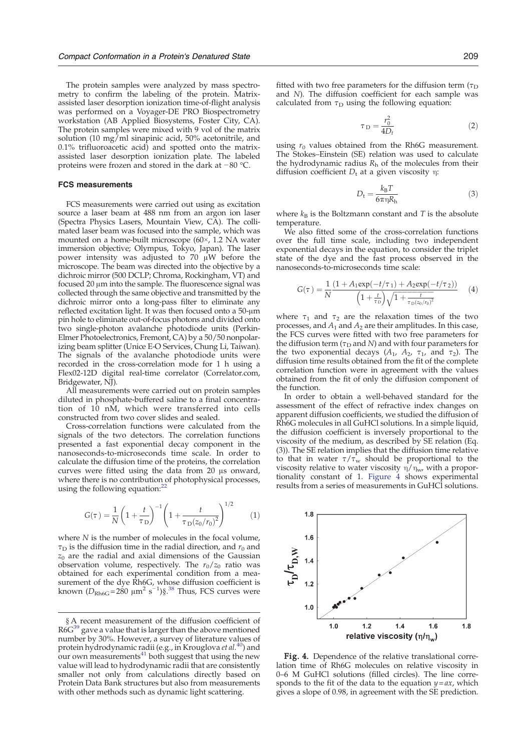The protein samples were analyzed by mass spectrometry to confirm the labeling of the protein. Matrixassisted laser desorption ionization time-of-flight analysis was performed on a Voyager-DE PRO Biospectrometry workstation (AB Applied Biosystems, Foster City, CA). The protein samples were mixed with 9 vol of the matrix solution (10 mg/ml sinapinic acid, 50% acetonitrile, and 0.1% trifluoroacetic acid) and spotted onto the matrixassisted laser desorption ionization plate. The labeled proteins were frozen and stored in the dark at −80 °C.

#### FCS measurements

FCS measurements were carried out using as excitation source a laser beam at 488 nm from an argon ion laser (Spectra Physics Lasers, Mountain View, CA). The collimated laser beam was focused into the sample, which was mounted on a home-built microscope (60×, 1.2 NA water immersion objective; Olympus, Tokyo, Japan). The laser power intensity was adjusted to 70 μW before the microscope. The beam was directed into the objective by a dichroic mirror (500 DCLP; Chroma, Rockingham, VT) and focused 20 μm into the sample. The fluorescence signal was collected through the same objective and transmitted by the dichroic mirror onto a long-pass filter to eliminate any reflected excitation light. It was then focused onto a 50-μm pin hole to eliminate out-of-focus photons and divided onto two single-photon avalanche photodiode units (Perkin-Elmer Photoelectronics, Fremont, CA) by a 50/50 nonpolarizing beam splitter (Unice E-O Services, Chung Li, Taiwan). The signals of the avalanche photodiode units were recorded in the cross-correlation mode for 1 h using a Flex02-12D digital real-time correlator (Correlator.com, Bridgewater, NJ).

All measurements were carried out on protein samples diluted in phosphate-buffered saline to a final concentration of 10 nM, which were transferred into cells constructed from two cover slides and sealed.

Cross-correlation functions were calculated from the signals of the two detectors. The correlation functions presented a fast exponential decay component in the nanoseconds-to-microseconds time scale. In order to calculate the diffusion time of the proteins, the correlation curves were fitted using the data from 20 μs onward, where there is no contribution of photophysical processes, using the following equation:<sup>[22](#page-8-0)</sup>

$$
G(\tau) = \frac{1}{N} \left( 1 + \frac{t}{\tau_D} \right)^{-1} \left( 1 + \frac{t}{\tau_D (z_0 / r_0)^2} \right)^{1/2}
$$
 (1)

where  $N$  is the number of molecules in the focal volume,  $\tau_D$  is the diffusion time in the radial direction, and  $r_0$  and  $z_0$  are the radial and axial dimensions of the Gaussian observation volume, respectively. The  $r_0/z_0$  ratio was obtained for each experimental condition from a measurement of the dye Rh6G, whose diffusion coefficient is known ( $D_{\text{Rh6G}}$  = 280  $\mu$ m<sup>2</sup> s<sup>-1</sup>)§.<sup>[38](#page-9-0)</sup> Thus, FCS curves were

fitted with two free parameters for the diffusion term ( $\tau_D$ ) and N). The diffusion coefficient for each sample was calculated from  $\tau_D$  using the following equation:

$$
\tau_D = \frac{r_0^2}{4D_t} \tag{2}
$$

using  $r_0$  values obtained from the Rh6G measurement. The Stokes–Einstein (SE) relation was used to calculate the hydrodynamic radius  $R<sub>h</sub>$  of the molecules from their diffusion coefficient  $D_t$  at a given viscosity η:

$$
D_{\rm t} = \frac{k_{\rm B}T}{6\pi\eta R_{\rm h}}\tag{3}
$$

where  $k_B$  is the Boltzmann constant and T is the absolute temperature.

We also fitted some of the cross-correlation functions over the full time scale, including two independent exponential decays in the equation, to consider the triplet state of the dye and the fast process observed in the nanoseconds-to-microseconds time scale:

$$
G(\tau) = \frac{1}{N} \frac{(1 + A_1 \exp(-t/\tau_1) + A_2 \exp(-t/\tau_2))}{\left(1 + \frac{t}{\tau_D}\right)\sqrt{1 + \frac{t}{\tau_D(z_0/\tau_0)^2}}}
$$
(4)

where  $\tau_1$  and  $\tau_2$  are the relaxation times of the two processes, and  $A_1$  and  $A_2$  are their amplitudes. In this case, the FCS curves were fitted with two free parameters for the diffusion term ( $\tau_D$  and N) and with four parameters for the two exponential decays ( $A_1$ ,  $A_2$ ,  $τ_1$ , and  $τ_2$ ). The diffusion time results obtained from the fit of the complete correlation function were in agreement with the values obtained from the fit of only the diffusion component of the function.

In order to obtain a well-behaved standard for the assessment of the effect of refractive index changes on apparent diffusion coefficients, we studied the diffusion of Rh6G molecules in all GuHCl solutions. In a simple liquid, the diffusion coefficient is inversely proportional to the viscosity of the medium, as described by SE relation (Eq. (3)). The SE relation implies that the diffusion time relative to that in water  $\tau/\tau_{w}$  should be proportional to the viscosity relative to water viscosity  $\eta/\eta_w$ , with a proportionality constant of 1. Figure 4 shows experimental results from a series of measurements in GuHCl solutions.



Fig. 4. Dependence of the relative translational correlation time of Rh6G molecules on relative viscosity in 0–6 M GuHCl solutions (filled circles). The line corresponds to the fit of the data to the equation  $y = ax$ , which gives a slope of 0.98, in agreement with the SE prediction.

<sup>§</sup> A recent measurement of the diffusion coefficient of  $R6<sup>39</sup>$  $R6<sup>39</sup>$  $R6<sup>39</sup>$  gave a value that is larger than the above mentioned number by 30%. However, a survey of literature values of protein hydrodynamic radii (e.g., in Krouglova et al.<sup>[40](#page-9-0)</sup>) and our own measurements $41$  both suggest that using the new value will lead to hydrodynamic radii that are consistently smaller not only from calculations directly based on Protein Data Bank structures but also from measurements with other methods such as dynamic light scattering.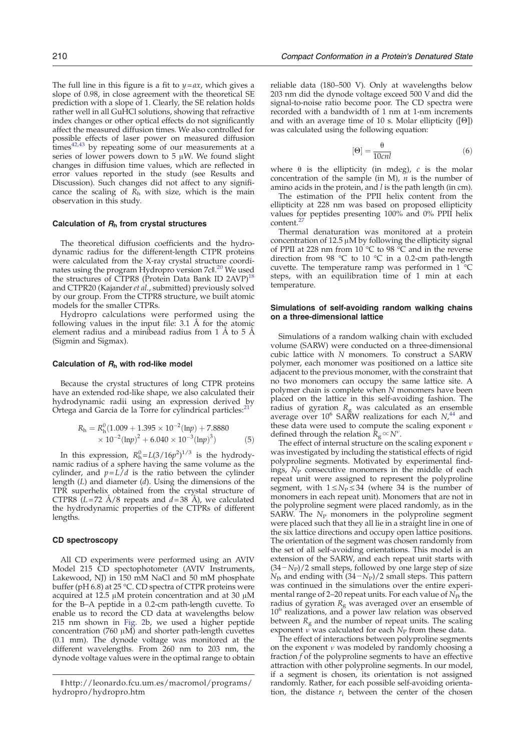The full line in this figure is a fit to  $y = ax$ , which gives a slope of 0.98, in close agreement with the theoretical SE prediction with a slope of 1. Clearly, the SE relation holds rather well in all GuHCl solutions, showing that refractive index changes or other optical effects do not significantly affect the measured diffusion times. We also controlled for possible effects of laser power on measured diffusion times<sup>[42,43](#page-9-0)</sup> by repeating some of our measurements at a series of lower powers down to  $5 \mu W$ . We found slight changes in diffusion time values, which are reflected in error values reported in the study (see Results and Discussion). Such changes did not affect to any significance the scaling of  $R_h$  with size, which is the main observation in this study.

#### Calculation of  $R_h$  from crystal structures

The theoretical diffusion coefficients and the hydrodynamic radius for the different-length CTPR proteins were calculated from the X-ray crystal structure coordi-nates using the program Hydropro version 7c∥.<sup>[20](#page-8-0)</sup> We used the structures of CTPR8 (Protein Data Bank ID 2AVP)<sup>[18](#page-8-0)</sup> and CTPR20 (Kajander et al., submitted) previously solved by our group. From the CTPR8 structure, we built atomic models for the smaller CTPRs.

Hydropro calculations were performed using the following values in the input file: 3.1 Å for the atomic element radius and a minibead radius from 1 Å to 5 Å (Sigmin and Sigmax).

#### Calculation of  $R_h$  with rod-like model

Because the crystal structures of long CTPR proteins have an extended rod-like shape, we also calculated their hydrodynamic radii using an expression derived by Ortega and Garcia de la Torre for cylindrical particles:<sup>2</sup>

$$
R_h = R_h^0 (1.009 + 1.395 \times 10^{-2} (\text{ln}p) + 7.8880
$$
  
× 10<sup>-2</sup> (lnp)<sup>2</sup> + 6.040 × 10<sup>-3</sup> (lnp)<sup>3</sup>) (5)

In this expression,  $R_h^0 = L(3/16p^2)^{1/3}$  is the hydrodynamic radius of a sphere having the same volume as the cylinder, and  $p=L/d$  is the ratio between the cylinder length (L) and diameter (d). Using the dimensions of the TPR superhelix obtained from the crystal structure of CTPR8 ( $L=72$  A/8 repeats and  $d=38$  A), we calculated the hydrodynamic properties of the CTPRs of different lengths.

#### CD spectroscopy

All CD experiments were performed using an AVIV Model 215 CD spectophotometer (AVIV Instruments, Lakewood, NJ) in 150 mM NaCl and 50 mM phosphate buffer (pH 6.8) at 25 °C. CD spectra of CTPR proteins were acquired at 12.5 μM protein concentration and at 30 μM for the B–A peptide in a 0.2-cm path-length cuvette. To enable us to record the CD data at wavelengths below 215 nm shown in [Fig. 2](#page-3-0)b, we used a higher peptide concentration (760 μM) and shorter path-length cuvettes (0.1 mm). The dynode voltage was monitored at the different wavelengths. From 260 nm to 203 nm, the dynode voltage values were in the optimal range to obtain reliable data (180–500 V). Only at wavelengths below 203 nm did the dynode voltage exceed 500 V and did the signal-to-noise ratio become poor. The CD spectra were recorded with a bandwidth of 1 nm at 1-nm increments and with an average time of 10 s. Molar ellipticity ([Θ]) was calculated using the following equation:

$$
[\Theta] = \frac{\theta}{10 \text{cnl}}\tag{6}
$$

where  $\theta$  is the ellipticity (in mdeg), c is the molar concentration of the sample (in M),  $n$  is the number of amino acids in the protein, and  $l$  is the path length (in cm).

The estimation of the PPII helix content from the ellipticity at 228 nm was based on proposed ellipticity values for peptides presenting 100% and 0% PPII helix content.<sup>2</sup>

Thermal denaturation was monitored at a protein concentration of 12.5 μM by following the ellipticity signal of PPII at 228 nm from  $10^{\circ}$ C to 98  $^{\circ}$ C and in the reverse direction from 98 °C to 10 °C in a 0.2-cm path-length cuvette. The temperature ramp was performed in  $1^{\circ}$ C steps, with an equilibration time of 1 min at each temperature.

#### Simulations of self-avoiding random walking chains on a three-dimensional lattice

Simulations of a random walking chain with excluded volume (SARW) were conducted on a three-dimensional cubic lattice with N monomers. To construct a SARW polymer, each monomer was positioned on a lattice site adjacent to the previous monomer, with the constraint that no two monomers can occupy the same lattice site. A polymer chain is complete when N monomers have been placed on the lattice in this self-avoiding fashion. The radius of gyration  $R_{\rm g}$  was calculated as an ensemble average over 10<sup>6</sup> SARW realizations for each  $N_{\rm r}^{44}$  $N_{\rm r}^{44}$  $N_{\rm r}^{44}$  and these data were used to compute the scaling exponent  $\nu$ defined through the relation  $\overline{R}_g \! \propto \! N^v$ .

The effect of internal structure on the scaling exponent  $\nu$ was investigated by including the statistical effects of rigid polyproline segments. Motivated by experimental findings,  $N_P$  consecutive monomers in the middle of each repeat unit were assigned to represent the polyproline segment, with  $1 \le N_P \le 34$  (where 34 is the number of monomers in each repeat unit). Monomers that are not in the polyproline segment were placed randomly, as in the SARW. The  $N_{\rm P}$  monomers in the polyproline segment were placed such that they all lie in a straight line in one of the six lattice directions and occupy open lattice positions. The orientation of the segment was chosen randomly from the set of all self-avoiding orientations. This model is an extension of the SARW, and each repeat unit starts with  $(34-N<sub>P</sub>)/2$  small steps, followed by one large step of size  $N_{\rm P}$ , and ending with  $(34-N_{\rm P})/2$  small steps. This pattern was continued in the simulations over the entire experimental range of 2–20 repeat units. For each value of  $N_{\rm P}$ , the radius of gyration  $R<sub>g</sub>$  was averaged over an ensemble of  $10<sup>6</sup>$  realizations, and a power law relation was observed between  $R<sub>g</sub>$  and the number of repeat units. The scaling exponent  $\tilde{v}$  was calculated for each  $N_P$  from these data.

The effect of interactions between polyproline segments on the exponent  $\nu$  was modeled by randomly choosing a fraction  $f$  of the polyproline segments to have an effective attraction with other polyproline segments. In our model, if a segment is chosen, its orientation is not assigned randomly. Rather, for each possible self-avoiding orientation, the distance  $r_i$  between the center of the chosen

<sup>∥</sup> http://leonardo.fcu.um.es/macromol/programs/ hydropro/hydropro.htm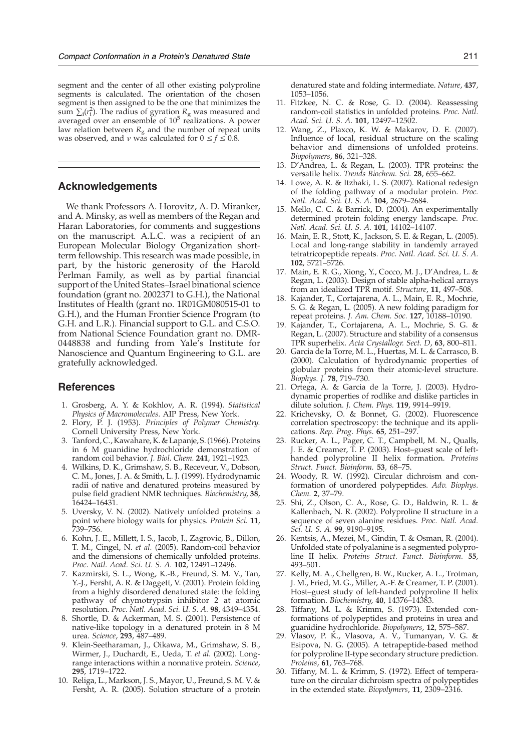<span id="page-8-0"></span>segment and the center of all other existing polyproline segments is calculated. The orientation of the chosen segment is then assigned to be the one that minimizes the sum  $\sum_i (r_i^2)$ . The radius of gyration  $R_g$  was measured and averaged over an ensemble of  $10<sup>5</sup>$  realizations. A power law relation between  $R<sub>g</sub>$  and the number of repeat units was observed, and  $\nu$  was calculated for  $0 \le f \le 0.8$ .

## Acknowledgements

We thank Professors A. Horovitz, A. D. Miranker, and A. Minsky, as well as members of the Regan and Haran Laboratories, for comments and suggestions on the manuscript. A.L.C. was a recipient of an European Molecular Biology Organization shortterm fellowship. This research was made possible, in part, by the historic generosity of the Harold Perlman Family, as well as by partial financial support of the United States–Israel binational science foundation (grant no. 2002371 to G.H.), the National Institutes of Health (grant no. 1R01GM080515-01 to G.H.), and the Human Frontier Science Program (to G.H. and L.R.). Financial support to G.L. and C.S.O. from National Science Foundation grant no. DMR-0448838 and funding from Yale's Institute for Nanoscience and Quantum Engineering to G.L. are gratefully acknowledged.

## References

- 1. Grosberg, A. Y. & Kokhlov, A. R. (1994). Statistical Physics of Macromolecules. AIP Press, New York.
- 2. Flory, P. J. (1953). Principles of Polymer Chemistry. Cornell University Press, New York.
- 3. Tanford, C., Kawahare, K. & Lapanje, S. (1966). Proteins in 6 M guanidine hydrochloride demonstration of random coil behavior. J. Biol. Chem. 241, 1921–1923.
- 4. Wilkins, D. K., Grimshaw, S. B., Receveur, V., Dobson, C. M., Jones, J. A. & Smith, L. J. (1999). Hydrodynamic radii of native and denatured proteins measured by pulse field gradient NMR techniques. Biochemistry, 38, 16424–16431.
- 5. Uversky, V. N. (2002). Natively unfolded proteins: a point where biology waits for physics. Protein Sci. 11, 739–756.
- 6. Kohn, J. E., Millett, I. S., Jacob, J., Zagrovic, B., Dillon, T. M., Cingel, N. et al. (2005). Random-coil behavior and the dimensions of chemically unfolded proteins. Proc. Natl. Acad. Sci. U. S. A. 102, 12491–12496.
- 7. Kazmirski, S. L., Wong, K.-B., Freund, S. M. V., Tan, Y.-J., Fersht, A. R. & Daggett, V. (2001). Protein folding from a highly disordered denatured state: the folding pathway of chymotrypsin inhibitor 2 at atomic resolution. Proc. Natl. Acad. Sci. U. S. A. 98, 4349–4354.
- 8. Shortle, D. & Ackerman, M. S. (2001). Persistence of native-like topology in a denatured protein in 8 M urea. Science, 293, 487–489.
- 9. Klein-Seetharaman, J., Oikawa, M., Grimshaw, S. B., Wirmer, J., Duchardt, E., Ueda, T. et al. (2002). Longrange interactions within a nonnative protein. Science, 295, 1719–1722.
- 10. Religa, L., Markson, J. S., Mayor, U., Freund, S. M. V. & Fersht, A. R. (2005). Solution structure of a protein

denatured state and folding intermediate. Nature, 437, 1053–1056.

- 11. Fitzkee, N. C. & Rose, G. D. (2004). Reassessing random-coil statistics in unfolded proteins. Proc. Natl. Acad. Sci. U. S. A. 101, 12497–12502.
- 12. Wang, Z., Plaxco, K. W. & Makarov, D. E. (2007). Influence of local, residual structure on the scaling behavior and dimensions of unfolded proteins. Biopolymers, 86, 321–328.
- 13. D'Andrea, L. & Regan, L. (2003). TPR proteins: the versatile helix. Trends Biochem. Sci. 28, 655–662.
- 14. Lowe, A. R. & Itzhaki, L. S. (2007). Rational redesign of the folding pathway of a modular protein. *Proc.* Natl. Acad. Sci. U. S. A. 104, 2679–2684.
- 15. Mello, C. C. & Barrick, D. (2004). An experimentally determined protein folding energy landscape. Proc. Natl. Acad. Sci. U. S. A. 101, 14102–14107.
- 16. Main, E. R., Stott, K., Jackson, S. E. & Regan, L. (2005). Local and long-range stability in tandemly arrayed tetratricopeptide repeats. Proc. Natl. Acad. Sci. U. S. A. 102, 5721–5726.
- 17. Main, E. R. G., Xiong, Y., Cocco, M. J., D'Andrea, L. & Regan, L. (2003). Design of stable alpha-helical arrays from an idealized TPR motif. Structure, 11, 497-508.
- 18. Kajander, T., Cortajarena, A. L., Main, E. R., Mochrie, S. G. & Regan, L. (2005). A new folding paradigm for repeat proteins. J. Am. Chem. Soc. 127, 10188-10190.
- 19. Kajander, T., Cortajarena, A. L., Mochrie, S. G. & Regan, L. (2007). Structure and stability of a consensus TPR superhelix. Acta Crystallogr. Sect. D, 63, 800–811.
- 20. Garcia de la Torre, M. L., Huertas, M. L. & Carrasco, B. (2000). Calculation of hydrodynamic properties of globular proteins from their atomic-level structure. Biophys. J. 78, 719–730.
- 21. Ortega, A. & Garcia de la Torre, J. (2003). Hydrodynamic properties of rodlike and dislike particles in dilute solution. J. Chem. Phys. 119, 9914-9919.
- 22. Krichevsky, O. & Bonnet, G. (2002). Fluorescence correlation spectroscopy: the technique and its applications. Rep. Prog. Phys. 65, 251–297.
- 23. Rucker, A. L., Pager, C. T., Campbell, M. N., Qualls, J. E. & Creamer, T. P. (2003). Host–guest scale of lefthanded polyproline II helix formation. Proteins Struct. Funct. Bioinform. 53, 68–75.
- 24. Woody, R. W. (1992). Circular dichroism and conformation of unordered polypeptides. Adv. Biophys. Chem. 2, 37–79.
- 25. Shi, Z., Olson, C. A., Rose, G. D., Baldwin, R. L. & Kallenbach, N. R. (2002). Polyproline II structure in a sequence of seven alanine residues. Proc. Natl. Acad. Sci. U. S. A. 99, 9190–9195.
- 26. Kentsis, A., Mezei, M., Gindin, T. & Osman, R. (2004). Unfolded state of polyalanine is a segmented polyproline II helix. Proteins Struct. Funct. Bioinform. 55, 493–501.
- 27. Kelly, M. A., Chellgren, B. W., Rucker, A. L., Trotman, J. M., Fried, M. G., Miller, A.-F. & Creamer, T. P. (2001). Host–guest study of left-handed polyproline II helix formation. Biochemistry, 40, 14376–14383.
- 28. Tiffany, M. L. & Krimm, S. (1973). Extended conformations of polypeptides and proteins in urea and guanidine hydrochloride. Biopolymers, 12, 575–587.
- 29. Vlasov, P. K., Vlasova, A. V., Tumanyan, V. G. & Esipova, N. G. (2005). A tetrapeptide-based method for polyproline II-type secondary structure prediction. Proteins, 61, 763–768.
- 30. Tiffany, M. L. & Krimm, S. (1972). Effect of temperature on the circular dichroism spectra of polypeptides in the extended state. Biopolymers, 11, 2309–2316.